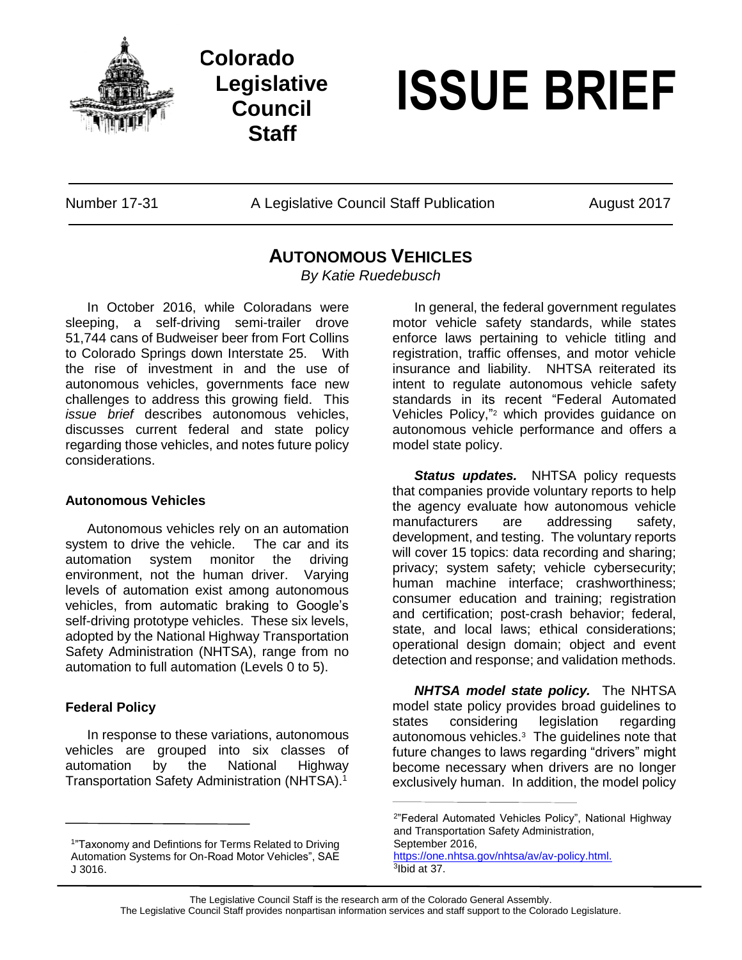

**Colorado Legislative Council Staff**

# **ISSUE BRIEF**

Number 17-31 A Legislative Council Staff Publication August 2017

## **AUTONOMOUS VEHICLES**

*By Katie Ruedebusch*

In October 2016, while Coloradans were sleeping, a self-driving semi-trailer drove 51,744 cans of Budweiser beer from Fort Collins to Colorado Springs down Interstate 25. With the rise of investment in and the use of autonomous vehicles, governments face new challenges to address this growing field. This *issue brief* describes autonomous vehicles, discusses current federal and state policy regarding those vehicles, and notes future policy considerations.

### **Autonomous Vehicles**

Autonomous vehicles rely on an automation system to drive the vehicle. The car and its automation system monitor the driving environment, not the human driver. Varying levels of automation exist among autonomous vehicles, from automatic braking to Google's self-driving prototype vehicles. These six levels, adopted by the National Highway Transportation Safety Administration (NHTSA), range from no automation to full automation (Levels 0 to 5).

### **Federal Policy**

In response to these variations, autonomous vehicles are grouped into six classes of automation by the National Highway Transportation Safety Administration (NHTSA). 1

In general, the federal government regulates motor vehicle safety standards, while states enforce laws pertaining to vehicle titling and registration, traffic offenses, and motor vehicle insurance and liability. NHTSA reiterated its intent to regulate autonomous vehicle safety standards in its recent "Federal Automated Vehicles Policy," <sup>2</sup> which provides guidance on autonomous vehicle performance and offers a model state policy.

*Status updates.* NHTSA policy requests that companies provide voluntary reports to help the agency evaluate how autonomous vehicle manufacturers are addressing safety, development, and testing. The voluntary reports will cover 15 topics: data recording and sharing; privacy; system safety; vehicle cybersecurity; human machine interface; crashworthiness; consumer education and training; registration and certification; post-crash behavior; federal, state, and local laws; ethical considerations; operational design domain; object and event detection and response; and validation methods.

*NHTSA model state policy.* The NHTSA model state policy provides broad guidelines to states considering legislation regarding autonomous vehicles.<sup>3</sup> The guidelines note that future changes to laws regarding "drivers" might become necessary when drivers are no longer exclusively human. In addition, the model policy

 Automation Systems for On-Road Motor Vehicles", SAE <sup>1</sup>"Taxonomy and Defintions for Terms Related to Driving J 3016.

<sup>2</sup> "Federal Automated Vehicles Policy", National Highway and Transportation Safety Administration, September 2016, [https://one.nhtsa.gov/nhtsa/av/av-policy.html.](https://one.nhtsa.gov/nhtsa/av/avpolicy.html.) 3 Ibid at 37.